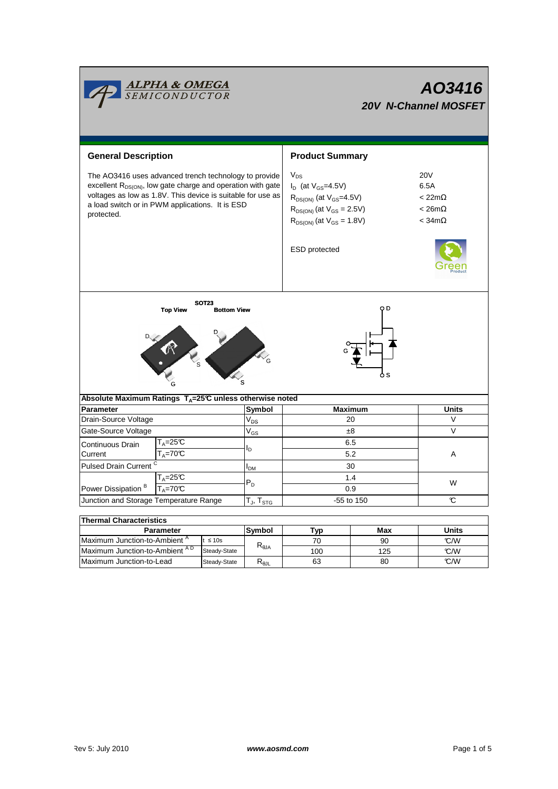|                                                                                                                                                                                                                                                           | <mark>ALPHA &amp; OMEGA</mark><br>SEMICONDUCTOR |                |                            | AO3416<br><b>20V N-Channel MOSFET</b>                                                                                                                                           |      |                                                                          |  |  |  |
|-----------------------------------------------------------------------------------------------------------------------------------------------------------------------------------------------------------------------------------------------------------|-------------------------------------------------|----------------|----------------------------|---------------------------------------------------------------------------------------------------------------------------------------------------------------------------------|------|--------------------------------------------------------------------------|--|--|--|
| <b>General Description</b>                                                                                                                                                                                                                                |                                                 |                |                            | <b>Product Summary</b>                                                                                                                                                          |      |                                                                          |  |  |  |
| The AO3416 uses advanced trench technology to provide<br>excellent $R_{DS(ON)}$ , low gate charge and operation with gate<br>voltages as low as 1.8V. This device is suitable for use as<br>a load switch or in PWM applications. It is ESD<br>protected. |                                                 |                |                            | $V_{DS}$<br>$I_D$ (at $V_{GS} = 4.5V$ )<br>$R_{DS(ON)}$ (at $V_{GS}$ =4.5V)<br>$R_{DS(ON)}$ (at $V_{GS} = 2.5V$ )<br>$R_{DS(ON)}$ (at $V_{GS} = 1.8V$ )<br><b>ESD</b> protected |      | <b>20V</b><br>6.5A<br>$< 22m\Omega$<br>$< 26m\Omega$<br>$<$ 34m $\Omega$ |  |  |  |
| <b>SOT23</b><br>O D<br><b>Top View</b><br><b>Bottom View</b>                                                                                                                                                                                              |                                                 |                |                            |                                                                                                                                                                                 |      |                                                                          |  |  |  |
| Absolute Maximum Ratings T <sub>A</sub> =25℃ unless otherwise noted                                                                                                                                                                                       |                                                 |                |                            |                                                                                                                                                                                 | o s  |                                                                          |  |  |  |
| <b>Parameter</b>                                                                                                                                                                                                                                          |                                                 |                | Symbol                     | <b>Maximum</b>                                                                                                                                                                  |      | <b>Units</b>                                                             |  |  |  |
| Drain-Source Voltage                                                                                                                                                                                                                                      |                                                 |                | V <sub>DS</sub>            | 20                                                                                                                                                                              |      | $\vee$                                                                   |  |  |  |
| Gate-Source Voltage<br>Continuous Drain                                                                                                                                                                                                                   | T <sub>A</sub> =25℃                             |                | $V_{GS}$<br>l <sub>D</sub> | ±8<br>6.5                                                                                                                                                                       |      | $\vee$                                                                   |  |  |  |
| $T_A = 70C$<br>Current                                                                                                                                                                                                                                    |                                                 |                |                            | 5.2                                                                                                                                                                             |      | A                                                                        |  |  |  |
| Pulsed Drain Current C                                                                                                                                                                                                                                    |                                                 |                | $I_{DM}$                   | 30                                                                                                                                                                              |      |                                                                          |  |  |  |
| Power Dissipation <sup>B</sup>                                                                                                                                                                                                                            | $T_A = 25C$<br>$T_A = 70^\circ C$               |                |                            | 1.4<br>0.9                                                                                                                                                                      |      | W                                                                        |  |  |  |
| Junction and Storage Temperature Range                                                                                                                                                                                                                    |                                                 |                | $T_J$ , $T_{STG}$          | -55 to 150                                                                                                                                                                      |      | C                                                                        |  |  |  |
|                                                                                                                                                                                                                                                           |                                                 |                |                            |                                                                                                                                                                                 |      |                                                                          |  |  |  |
| <b>Thermal Characteristics</b>                                                                                                                                                                                                                            |                                                 |                |                            |                                                                                                                                                                                 |      |                                                                          |  |  |  |
| <b>Parameter</b>                                                                                                                                                                                                                                          |                                                 |                | Symbol                     | <b>Typ</b>                                                                                                                                                                      | Max  | Units                                                                    |  |  |  |
| Maximum Junction-to-Ambient <sup>A</sup><br>$t \leq 10s$                                                                                                                                                                                                  |                                                 | $R_{\theta$ JA | 70                         | 90                                                                                                                                                                              | °C/W |                                                                          |  |  |  |
| Maximum Junction-to-Ambient AD<br>Steady-State                                                                                                                                                                                                            |                                                 |                | 100                        | 125                                                                                                                                                                             | °C/W |                                                                          |  |  |  |

Л

Steady-State R<sub>θJL</sub>

Maximum Junction-to-Lead Steady-State R<sub>6JL</sub> 63 80 62/W

63

125 80

┑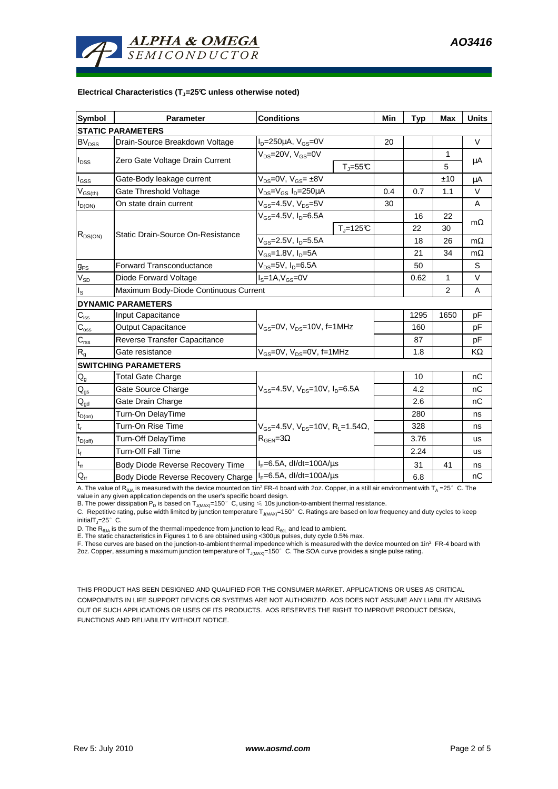

## **Electrical Characteristics (TJ=25°C unless otherwise noted)**

| <b>Symbol</b>               | <b>Parameter</b>                                                                    | <b>Conditions</b>                            |                              |                | Typ          | <b>Max</b> | <b>Units</b> |  |  |  |  |  |
|-----------------------------|-------------------------------------------------------------------------------------|----------------------------------------------|------------------------------|----------------|--------------|------------|--------------|--|--|--|--|--|
| <b>STATIC PARAMETERS</b>    |                                                                                     |                                              |                              |                |              |            |              |  |  |  |  |  |
| <b>BV<sub>DSS</sub></b>     | Drain-Source Breakdown Voltage                                                      | $I_D = 250 \mu A$ , $V_{GS} = 0V$            |                              | 20             |              |            | $\vee$       |  |  |  |  |  |
| $I_{DSS}$                   | Zero Gate Voltage Drain Current                                                     | $V_{DS}$ =20V, $V_{GS}$ =0V                  |                              |                |              | 1          | μA           |  |  |  |  |  |
|                             |                                                                                     |                                              | $T_{\text{J}} = 55^{\circ}C$ |                |              | 5          |              |  |  |  |  |  |
| l <sub>GSS</sub>            | Gate-Body leakage current                                                           | $V_{DS} = 0V$ , $V_{GS} = \pm 8V$            |                              |                |              | ±10        | μA           |  |  |  |  |  |
| $V_{GS(th)}$                | Gate Threshold Voltage                                                              | $V_{DS} = V_{GS} I_D = 250 \mu A$            |                              | 0.4            | 0.7          | 1.1        | $\vee$       |  |  |  |  |  |
| $I_{D(ON)}$                 | On state drain current                                                              | $V_{GS}$ =4.5V, $V_{DS}$ =5V                 |                              | 30             |              |            | A            |  |  |  |  |  |
| $R_{DS(ON)}$                |                                                                                     | $V_{GS} = 4.5V, I_D = 6.5A$                  |                              |                | 16           | 22         |              |  |  |  |  |  |
|                             | Static Drain-Source On-Resistance                                                   |                                              | $T_{\parallel} = 125$ °C     |                | 22           | 30         | $m\Omega$    |  |  |  |  |  |
|                             |                                                                                     | $V_{GS}$ =2.5V, $I_{D}$ =5.5A                |                              |                | 18           | 26         | $m\Omega$    |  |  |  |  |  |
|                             |                                                                                     | $V_{GS}$ =1.8V, $I_{D}$ =5A                  |                              | 21             | 34           | $m\Omega$  |              |  |  |  |  |  |
| $g_{FS}$                    | Forward Transconductance                                                            | $V_{DS}$ =5V, $I_D$ =6.5A                    |                              |                | 50           |            | S            |  |  |  |  |  |
| $V_{SD}$                    | Diode Forward Voltage                                                               | $IS=1A, VGS=0V$                              |                              | 0.62           | $\mathbf{1}$ | $\vee$     |              |  |  |  |  |  |
| ıs.                         | Maximum Body-Diode Continuous Current                                               |                                              |                              | $\overline{2}$ | A            |            |              |  |  |  |  |  |
|                             | <b>DYNAMIC PARAMETERS</b>                                                           |                                              |                              |                |              |            |              |  |  |  |  |  |
| $C_{iss}$                   | Input Capacitance                                                                   | $V_{GS}$ =0V, $V_{DS}$ =10V, f=1MHz          |                              |                | 1295         | 1650       | pF           |  |  |  |  |  |
| $\mathsf{C}_{\mathsf{oss}}$ | <b>Output Capacitance</b>                                                           |                                              |                              |                | 160          |            | pF           |  |  |  |  |  |
| $C_{rss}$                   | Reverse Transfer Capacitance                                                        |                                              |                              |                | 87           |            | pF           |  |  |  |  |  |
| R <sub>g</sub>              | Gate resistance                                                                     | $V_{GS}$ =0V, $V_{DS}$ =0V, f=1MHz           |                              |                | 1.8          |            | KΩ           |  |  |  |  |  |
|                             | <b>SWITCHING PARAMETERS</b>                                                         |                                              |                              |                |              |            |              |  |  |  |  |  |
| $\mathsf{Q}_{\mathsf{g}}$   | <b>Total Gate Charge</b>                                                            | $V_{GS}$ =4.5V, $V_{DS}$ =10V, $I_{D}$ =6.5A |                              |                | 10           |            | nC           |  |  |  |  |  |
| $\mathsf{Q}_{\mathsf{gs}}$  | Gate Source Charge                                                                  |                                              |                              |                | 4.2          |            | nC           |  |  |  |  |  |
| $\mathsf{Q}_{\mathsf{gd}}$  | Gate Drain Charge                                                                   |                                              |                              |                | 2.6          |            | nC           |  |  |  |  |  |
| $t_{D(on)}$                 | Turn-On DelayTime                                                                   |                                              |                              |                | 280          |            | ns           |  |  |  |  |  |
| t,                          | Turn-On Rise Time<br>$V_{GS}$ =4.5V, $V_{DS}$ =10V, R <sub>i</sub> =1.54 $\Omega$ , |                                              |                              | 328            |              | ns         |              |  |  |  |  |  |
| $t_{D(off)}$                | Turn-Off DelayTime                                                                  | $R_{\text{GEN}} = 3\Omega$                   |                              |                | 3.76         |            | <b>us</b>    |  |  |  |  |  |
| $t_f$                       | <b>Turn-Off Fall Time</b>                                                           |                                              |                              | 2.24           |              | <b>us</b>  |              |  |  |  |  |  |
| $\mathfrak{t}_{\text{rr}}$  | Body Diode Reverse Recovery Time                                                    | $I_F = 6.5A$ , dl/dt=100A/ $\mu$ s           |                              |                | 31           | 41         | ns           |  |  |  |  |  |
| $Q_{rr}$                    | Body Diode Reverse Recovery Charge   Γε=6.5A, dl/dt=100A/μs                         |                                              |                              | 6.8            |              | nC         |              |  |  |  |  |  |

A. The value of  $R_{\thetaJA}$  is measured with the device mounted on 1in<sup>2</sup> FR-4 board with 2oz. Copper, in a still air environment with T<sub>A</sub> =25°C. The

value in any given application depends on the user's specific board design.<br>B. The power dissipation P<sub>D</sub> is based on T<sub>J(MAX)</sub>=150°C, using ≤ 10s junction-to-ambient thermal resistance.

C. Repetitive rating, pulse width limited by junction temperature  $T_{J(MAX)}$ =150°C. Ratings are based on low frequency and duty cycles to keep initialT $_{\text{I}}$ =25°C.

D. The  $R_{\theta JA}$  is the sum of the thermal impedence from junction to lead  $R_{\theta JL}$  and lead to ambient.

E. The static characteristics in Figures 1 to 6 are obtained using <300us pulses, duty cycle 0.5% max.

F. These curves are based on the junction-to-ambient thermal impedence which is measured with the device mounted on 1in<sup>2</sup> FR-4 board with 2oz. Copper, assuming a maximum junction temperature of T<sub>J(MAX)</sub>=150°C. The SOA curve provides a single pulse rating.

THIS PRODUCT HAS BEEN DESIGNED AND QUALIFIED FOR THE CONSUMER MARKET. APPLICATIONS OR USES AS CRITICAL COMPONENTS IN LIFE SUPPORT DEVICES OR SYSTEMS ARE NOT AUTHORIZED. AOS DOES NOT ASSUME ANY LIABILITY ARISING OUT OF SUCH APPLICATIONS OR USES OF ITS PRODUCTS. AOS RESERVES THE RIGHT TO IMPROVE PRODUCT DESIGN, FUNCTIONS AND RELIABILITY WITHOUT NOTICE.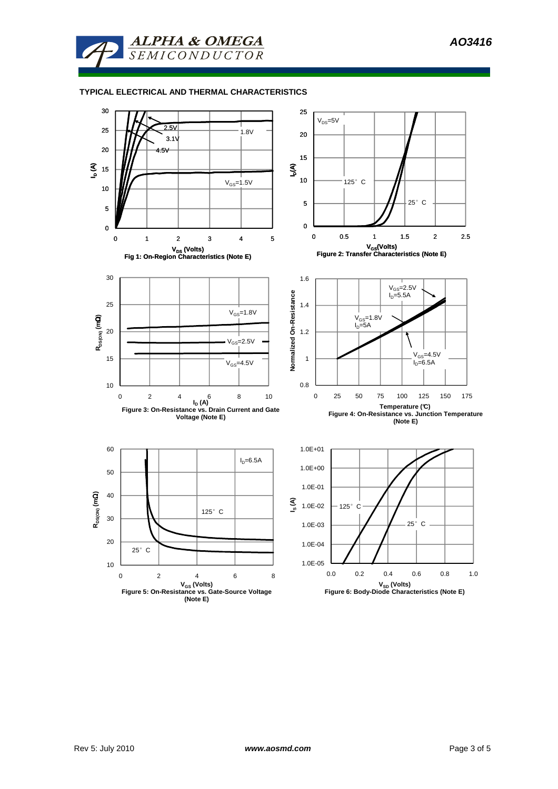

## **TYPICAL ELECTRICAL AND THERMAL CHARACTERISTICS**

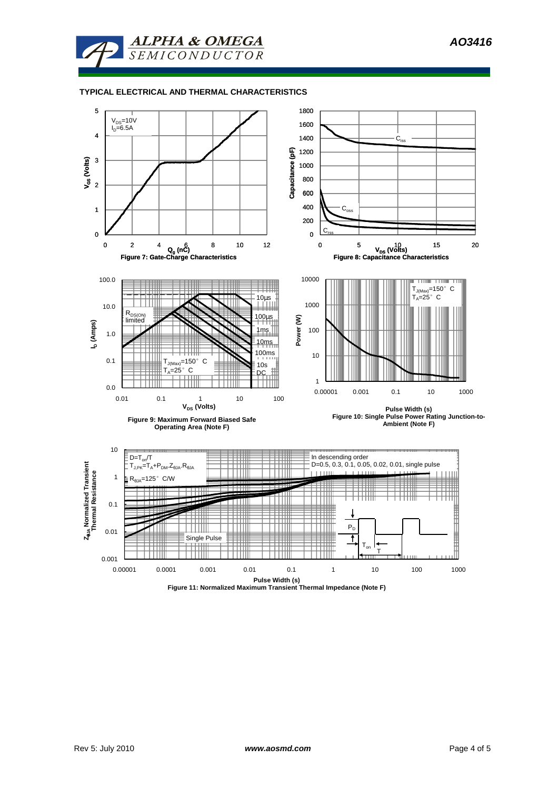

## **TYPICAL ELECTRICAL AND THERMAL CHARACTERISTICS**